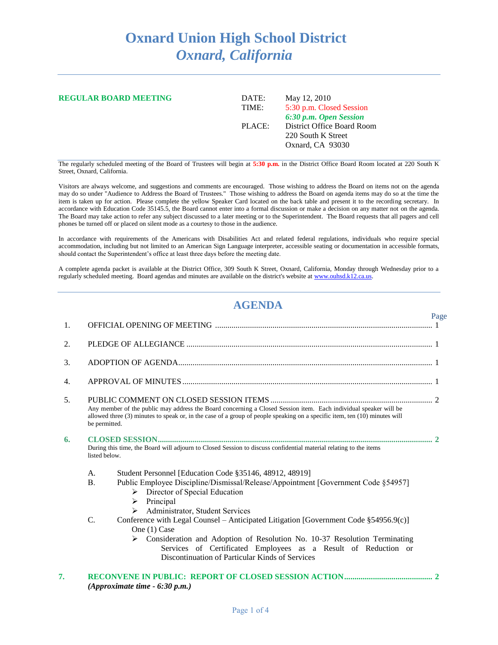## **Oxnard Union High School District** *Oxnard, California*

| <b>REGULAR BOARD MEETING</b> | DATE:<br>TIME: | May 12, 2010<br>5:30 p.m. Closed Session                                                       |
|------------------------------|----------------|------------------------------------------------------------------------------------------------|
|                              | PLACE:         | 6:30 p.m. Open Session<br>District Office Board Room<br>220 South K Street<br>Oxnard, CA 93030 |

The regularly scheduled meeting of the Board of Trustees will begin at **5:30 p.m.** in the District Office Board Room located at 220 South K Street, Oxnard, California.

Visitors are always welcome, and suggestions and comments are encouraged. Those wishing to address the Board on items not on the agenda may do so under "Audience to Address the Board of Trustees." Those wishing to address the Board on agenda items may do so at the time the item is taken up for action. Please complete the yellow Speaker Card located on the back table and present it to the recording secretary. In accordance with Education Code 35145.5, the Board cannot enter into a formal discussion or make a decision on any matter not on the agenda. The Board may take action to refer any subject discussed to a later meeting or to the Superintendent. The Board requests that all pagers and cell phones be turned off or placed on silent mode as a courtesy to those in the audience.

In accordance with requirements of the Americans with Disabilities Act and related federal regulations, individuals who require special accommodation, including but not limited to an American Sign Language interpreter, accessible seating or documentation in accessible formats, should contact the Superintendent's office at least three days before the meeting date.

A complete agenda packet is available at the District Office, 309 South K Street, Oxnard, California, Monday through Wednesday prior to a regularly scheduled meeting. Board agendas and minutes are available on the district's website a[t www.ouhsd.k12.ca.us.](http://www.ouhsd.k12.ca.us/)

## **AGENDA**

Page

| 1. |                                                                                                                                                                                                                                                                                                                                                    |  |  |
|----|----------------------------------------------------------------------------------------------------------------------------------------------------------------------------------------------------------------------------------------------------------------------------------------------------------------------------------------------------|--|--|
| 2. |                                                                                                                                                                                                                                                                                                                                                    |  |  |
| 3. |                                                                                                                                                                                                                                                                                                                                                    |  |  |
| 4. |                                                                                                                                                                                                                                                                                                                                                    |  |  |
| 5. | Any member of the public may address the Board concerning a Closed Session item. Each individual speaker will be<br>allowed three (3) minutes to speak or, in the case of a group of people speaking on a specific item, ten (10) minutes will<br>be permitted.                                                                                    |  |  |
| 6. | During this time, the Board will adjourn to Closed Session to discuss confidential material relating to the items<br>listed below.                                                                                                                                                                                                                 |  |  |
|    | Student Personnel [Education Code §35146, 48912, 48919]<br>A.                                                                                                                                                                                                                                                                                      |  |  |
|    | Public Employee Discipline/Dismissal/Release/Appointment [Government Code §54957]<br><b>B.</b><br>$\triangleright$ Director of Special Education<br>Principal<br>➤<br>Administrator, Student Services                                                                                                                                              |  |  |
|    | $\mathcal{C}$ .<br>Conference with Legal Counsel – Anticipated Litigation [Government Code $\S 54956.9(c)$ ]<br>One (1) Case<br>Consideration and Adoption of Resolution No. 10-37 Resolution Terminating<br>$\triangleright$<br>Services of Certificated Employees as a Result of Reduction or<br>Discontinuation of Particular Kinds of Services |  |  |
| 7. |                                                                                                                                                                                                                                                                                                                                                    |  |  |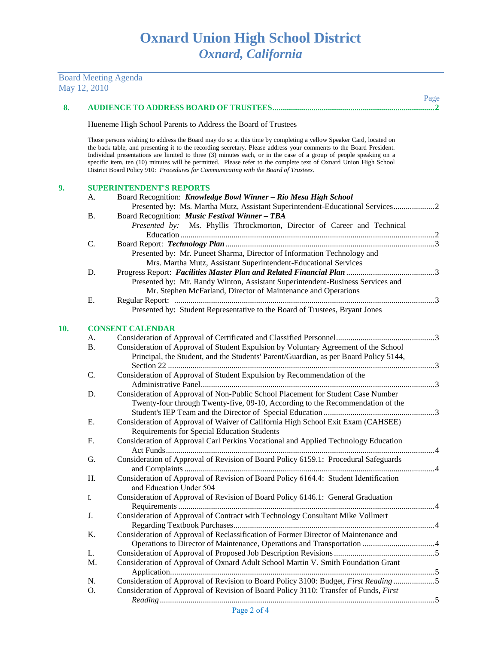|     | May 12, 2010 | <b>Board Meeting Agenda</b>                                                                                                                                                                                                                                                                                                                                                                                                                                                                                                                                             |      |
|-----|--------------|-------------------------------------------------------------------------------------------------------------------------------------------------------------------------------------------------------------------------------------------------------------------------------------------------------------------------------------------------------------------------------------------------------------------------------------------------------------------------------------------------------------------------------------------------------------------------|------|
|     |              |                                                                                                                                                                                                                                                                                                                                                                                                                                                                                                                                                                         | Page |
| 8.  |              |                                                                                                                                                                                                                                                                                                                                                                                                                                                                                                                                                                         |      |
|     |              | Hueneme High School Parents to Address the Board of Trustees                                                                                                                                                                                                                                                                                                                                                                                                                                                                                                            |      |
|     |              | Those persons wishing to address the Board may do so at this time by completing a yellow Speaker Card, located on<br>the back table, and presenting it to the recording secretary. Please address your comments to the Board President.<br>Individual presentations are limited to three (3) minutes each, or in the case of a group of people speaking on a<br>specific item, ten (10) minutes will be permitted. Please refer to the complete text of Oxnard Union High School<br>District Board Policy 910: Procedures for Communicating with the Board of Trustees. |      |
| 9.  |              | <b>SUPERINTENDENT'S REPORTS</b>                                                                                                                                                                                                                                                                                                                                                                                                                                                                                                                                         |      |
|     | A.           | Board Recognition: Knowledge Bowl Winner - Rio Mesa High School                                                                                                                                                                                                                                                                                                                                                                                                                                                                                                         |      |
|     |              | Presented by: Ms. Martha Mutz, Assistant Superintendent-Educational Services2                                                                                                                                                                                                                                                                                                                                                                                                                                                                                           |      |
|     | В.           | Board Recognition: Music Festival Winner - TBA                                                                                                                                                                                                                                                                                                                                                                                                                                                                                                                          |      |
|     |              | Presented by: Ms. Phyllis Throckmorton, Director of Career and Technical                                                                                                                                                                                                                                                                                                                                                                                                                                                                                                |      |
|     |              |                                                                                                                                                                                                                                                                                                                                                                                                                                                                                                                                                                         |      |
|     | C.           |                                                                                                                                                                                                                                                                                                                                                                                                                                                                                                                                                                         |      |
|     |              | Presented by: Mr. Puneet Sharma, Director of Information Technology and                                                                                                                                                                                                                                                                                                                                                                                                                                                                                                 |      |
|     |              | Mrs. Martha Mutz, Assistant Superintendent-Educational Services                                                                                                                                                                                                                                                                                                                                                                                                                                                                                                         |      |
|     | D.           |                                                                                                                                                                                                                                                                                                                                                                                                                                                                                                                                                                         |      |
|     |              | Presented by: Mr. Randy Winton, Assistant Superintendent-Business Services and                                                                                                                                                                                                                                                                                                                                                                                                                                                                                          |      |
|     |              | Mr. Stephen McFarland, Director of Maintenance and Operations                                                                                                                                                                                                                                                                                                                                                                                                                                                                                                           |      |
|     | Ε.           |                                                                                                                                                                                                                                                                                                                                                                                                                                                                                                                                                                         |      |
|     |              | Presented by: Student Representative to the Board of Trustees, Bryant Jones                                                                                                                                                                                                                                                                                                                                                                                                                                                                                             |      |
| 10. |              | <b>CONSENT CALENDAR</b>                                                                                                                                                                                                                                                                                                                                                                                                                                                                                                                                                 |      |
|     | A.           |                                                                                                                                                                                                                                                                                                                                                                                                                                                                                                                                                                         |      |
|     | <b>B.</b>    | Consideration of Approval of Student Expulsion by Voluntary Agreement of the School                                                                                                                                                                                                                                                                                                                                                                                                                                                                                     |      |
|     |              | Principal, the Student, and the Students' Parent/Guardian, as per Board Policy 5144,                                                                                                                                                                                                                                                                                                                                                                                                                                                                                    |      |
|     | C.           | Consideration of Approval of Student Expulsion by Recommendation of the                                                                                                                                                                                                                                                                                                                                                                                                                                                                                                 |      |
|     |              |                                                                                                                                                                                                                                                                                                                                                                                                                                                                                                                                                                         |      |
|     | D.           | Consideration of Approval of Non-Public School Placement for Student Case Number                                                                                                                                                                                                                                                                                                                                                                                                                                                                                        |      |
|     |              | Twenty-four through Twenty-five, 09-10, According to the Recommendation of the                                                                                                                                                                                                                                                                                                                                                                                                                                                                                          |      |
|     |              |                                                                                                                                                                                                                                                                                                                                                                                                                                                                                                                                                                         |      |
|     | Е.           | Consideration of Approval of Waiver of California High School Exit Exam (CAHSEE)                                                                                                                                                                                                                                                                                                                                                                                                                                                                                        |      |
|     |              | Requirements for Special Education Students                                                                                                                                                                                                                                                                                                                                                                                                                                                                                                                             |      |
|     | F.           | Consideration of Approval Carl Perkins Vocational and Applied Technology Education                                                                                                                                                                                                                                                                                                                                                                                                                                                                                      |      |
|     |              |                                                                                                                                                                                                                                                                                                                                                                                                                                                                                                                                                                         |      |
|     | G.           | Consideration of Approval of Revision of Board Policy 6159.1: Procedural Safeguards                                                                                                                                                                                                                                                                                                                                                                                                                                                                                     |      |
|     |              |                                                                                                                                                                                                                                                                                                                                                                                                                                                                                                                                                                         |      |
|     | H.           | Consideration of Approval of Revision of Board Policy 6164.4: Student Identification<br>and Education Under 504                                                                                                                                                                                                                                                                                                                                                                                                                                                         |      |
|     | I.           | Consideration of Approval of Revision of Board Policy 6146.1: General Graduation                                                                                                                                                                                                                                                                                                                                                                                                                                                                                        |      |
|     |              |                                                                                                                                                                                                                                                                                                                                                                                                                                                                                                                                                                         |      |
|     | J.           | Consideration of Approval of Contract with Technology Consultant Mike Vollmert                                                                                                                                                                                                                                                                                                                                                                                                                                                                                          |      |
|     |              |                                                                                                                                                                                                                                                                                                                                                                                                                                                                                                                                                                         |      |
|     | Κ.           | Consideration of Approval of Reclassification of Former Director of Maintenance and                                                                                                                                                                                                                                                                                                                                                                                                                                                                                     |      |
|     |              |                                                                                                                                                                                                                                                                                                                                                                                                                                                                                                                                                                         |      |
|     | L.           |                                                                                                                                                                                                                                                                                                                                                                                                                                                                                                                                                                         |      |
|     | M.           | Consideration of Approval of Oxnard Adult School Martin V. Smith Foundation Grant                                                                                                                                                                                                                                                                                                                                                                                                                                                                                       |      |
|     |              |                                                                                                                                                                                                                                                                                                                                                                                                                                                                                                                                                                         |      |
|     | N.           | Consideration of Approval of Revision to Board Policy 3100: Budget, First Reading5                                                                                                                                                                                                                                                                                                                                                                                                                                                                                      |      |
|     | O.           | Consideration of Approval of Revision of Board Policy 3110: Transfer of Funds, First                                                                                                                                                                                                                                                                                                                                                                                                                                                                                    |      |
|     |              |                                                                                                                                                                                                                                                                                                                                                                                                                                                                                                                                                                         |      |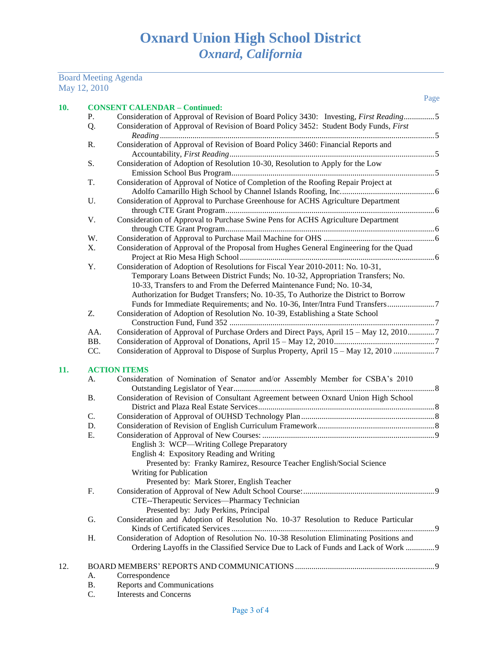## Board Meeting Agenda May 12, 2010

| Р.  | <b>CONSENT CALENDAR - Continued:</b><br>Consideration of Approval of Revision of Board Policy 3430: Investing, First Reading5 |
|-----|-------------------------------------------------------------------------------------------------------------------------------|
| Q.  | Consideration of Approval of Revision of Board Policy 3452: Student Body Funds, First                                         |
| R.  | Consideration of Approval of Revision of Board Policy 3460: Financial Reports and                                             |
|     |                                                                                                                               |
| S.  | Consideration of Adoption of Resolution 10-30, Resolution to Apply for the Low                                                |
|     |                                                                                                                               |
| T.  | Consideration of Approval of Notice of Completion of the Roofing Repair Project at                                            |
|     |                                                                                                                               |
| U.  | Consideration of Approval to Purchase Greenhouse for ACHS Agriculture Department                                              |
|     |                                                                                                                               |
| V.  | Consideration of Approval to Purchase Swine Pens for ACHS Agriculture Department                                              |
|     |                                                                                                                               |
| W.  |                                                                                                                               |
| Χ.  | Consideration of Approval of the Proposal from Hughes General Engineering for the Quad                                        |
|     |                                                                                                                               |
| Y.  | Consideration of Adoption of Resolutions for Fiscal Year 2010-2011: No. 10-31,                                                |
|     | Temporary Loans Between District Funds; No. 10-32, Appropriation Transfers; No.                                               |
|     | 10-33, Transfers to and From the Deferred Maintenance Fund; No. 10-34,                                                        |
|     | Authorization for Budget Transfers; No. 10-35, To Authorize the District to Borrow                                            |
|     |                                                                                                                               |
| Z.  | Consideration of Adoption of Resolution No. 10-39, Establishing a State School                                                |
|     |                                                                                                                               |
| AA. | Consideration of Approval of Purchase Orders and Direct Pays, April 15 – May 12, 20107                                        |
| BB. |                                                                                                                               |
| CC. | Consideration of Approval to Dispose of Surplus Property, April 15 – May 12, 2010                                             |
|     | <b>ACTION ITEMS</b>                                                                                                           |
| A.  | Consideration of Nomination of Senator and/or Assembly Member for CSBA's 2010                                                 |
|     |                                                                                                                               |
| Β.  | Consideration of Revision of Consultant Agreement between Oxnard Union High School                                            |
|     |                                                                                                                               |
| C.  |                                                                                                                               |
| D.  |                                                                                                                               |
| Ε.  |                                                                                                                               |
|     | English 3: WCP—Writing College Preparatory                                                                                    |
|     | English 4: Expository Reading and Writing                                                                                     |
|     | Presented by: Franky Ramirez, Resource Teacher English/Social Science                                                         |
|     |                                                                                                                               |
|     | <b>Writing for Publication</b>                                                                                                |
|     | Presented by: Mark Storer, English Teacher                                                                                    |
| F.  |                                                                                                                               |
|     | CTE--Therapeutic Services--Pharmacy Technician                                                                                |
|     | Presented by: Judy Perkins, Principal                                                                                         |
| G.  | Consideration and Adoption of Resolution No. 10-37 Resolution to Reduce Particular                                            |
|     |                                                                                                                               |
| Н.  | Consideration of Adoption of Resolution No. 10-38 Resolution Eliminating Positions and                                        |
|     | Ordering Layoffs in the Classified Service Due to Lack of Funds and Lack of Work  9                                           |
|     |                                                                                                                               |

- B. Reports and Communications<br>C. Interests and Concerns
- Interests and Concerns